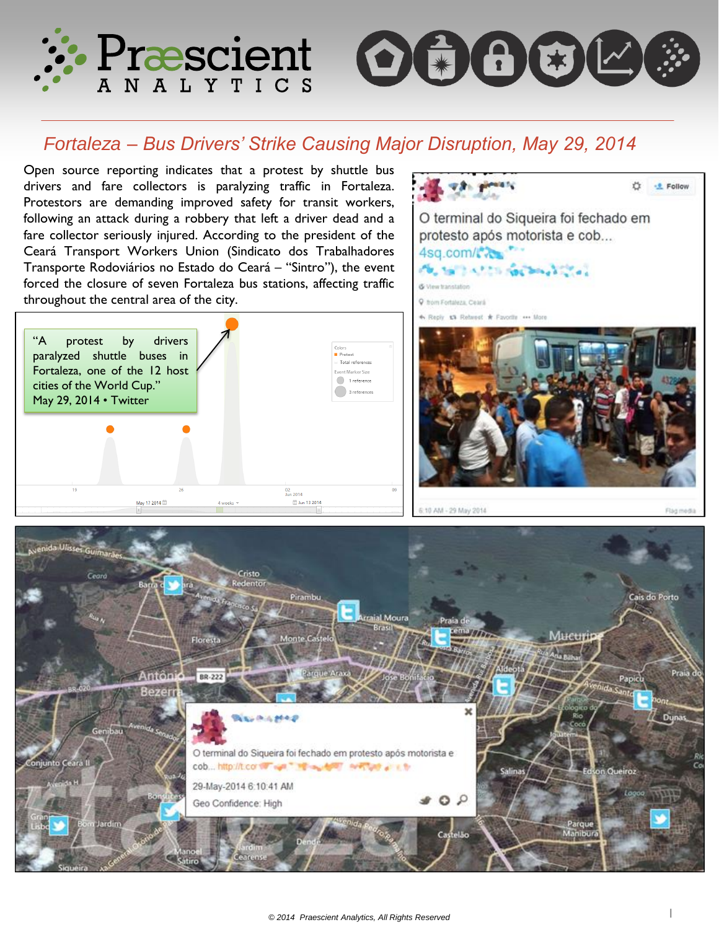



# *Fortaleza – Bus Drivers' Strike Causing Major Disruption, May 29, 2014*

Open source reporting indicates that a protest by shuttle bus drivers and fare collectors is paralyzing traffic in Fortaleza. Protestors are demanding improved safety for transit workers, following an attack during a robbery that left a driver dead and a fare collector seriously injured. According to the president of the Ceará Transport Workers Union (Sindicato dos Trabalhadores Transporte Rodoviários no Estado do Ceará – "Sintro"), the event forced the closure of seven Fortaleza bus stations, affecting traffic throughout the central area of the city.